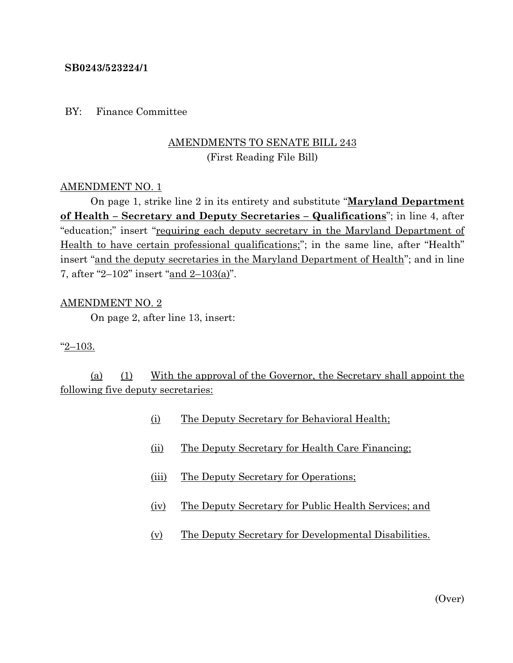### **SB0243/523224/1**

### BY: Finance Committee

## AMENDMENTS TO SENATE BILL 243 (First Reading File Bill)

#### AMENDMENT NO. 1

On page 1, strike line 2 in its entirety and substitute "**Maryland Department of Health – Secretary and Deputy Secretaries – Qualifications**"; in line 4, after "education;" insert "requiring each deputy secretary in the Maryland Department of Health to have certain professional qualifications;"; in the same line, after "Health" insert "and the deputy secretaries in the Maryland Department of Health"; and in line 7, after "2–102" insert "and 2–103(a)".

#### AMENDMENT NO. 2

On page 2, after line 13, insert:

#### "2–103.

(a) (1) With the approval of the Governor, the Secretary shall appoint the following five deputy secretaries:

- (i) The Deputy Secretary for Behavioral Health;
- (ii) The Deputy Secretary for Health Care Financing;
- (iii) The Deputy Secretary for Operations;
- (iv) The Deputy Secretary for Public Health Services; and
- (v) The Deputy Secretary for Developmental Disabilities.